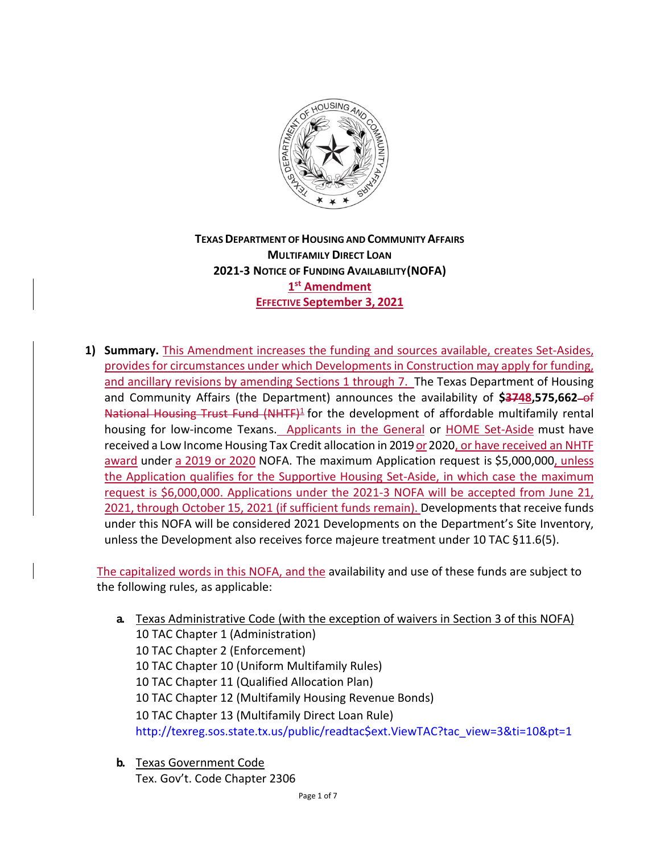

# **TEXASDEPARTMENT OFHOUSING AND COMMUNITYAFFAIRS MULTIFAMILY DIRECT LOAN 2021‐3 NOTICE OF FUNDING AVAILABILITY(NOFA) 1st Amendment EFFECTIVE September 3, 2021**

**1) Summary.** This Amendment increases the funding and sources available, creates Set-Asides, provides for circumstances under which Developments in Construction may apply for funding, and ancillary revisions by amending Sections 1 through 7. The Texas Department of Housing and Community Affairs (the Department) announces the availability of \$3748,575,662-of National Housing Trust Fund (NHTF)<sup>1</sup> for the development of affordable multifamily rental housing for low-income Texans. Applicants in the General or HOME Set-Aside must have received a Low Income Housing Tax Credit allocation in 2019 or 2020, or have received an NHTF award under a 2019 or 2020 NOFA. The maximum Application request is \$5,000,000, unless the Application qualifies for the Supportive Housing Set-Aside, in which case the maximum request is \$6,000,000. Applications under the 2021-3 NOFA will be accepted from June 21, 2021, through October 15, 2021 (if sufficient funds remain). Developments that receive funds under this NOFA will be considered 2021 Developments on the Department's Site Inventory, unless the Development also receives force majeure treatment under 10 TAC §11.6(5).

The capitalized words in this NOFA, and the availability and use of these funds are subject to the following rules, as applicable:

- **a.** Texas Administrative Code (with the exception of waivers in Section 3 of this NOFA) 10 TAC Chapter 1 (Administration) 10 TAC Chapter 2 (Enforcement) 10 TAC Chapter 10 (Uniform Multifamily Rules) 10 TAC Chapter 11 (Qualified Allocation Plan) 10 TAC Chapter 12 (Multifamily Housing Revenue Bonds) 10 TAC Chapter 13 (Multifamily Direct Loan Rule) [http://texreg.sos.state.tx.us/public/readtac\\$ext.ViewTAC?tac\\_view=3&ti=10&pt=1](http://texreg.sos.state.tx.us/public/readtac%24ext.ViewTAC?tac_view=3&ti=10&pt=1)
- **b.** Texas Government Code Tex. Gov't. Code Chapter 2306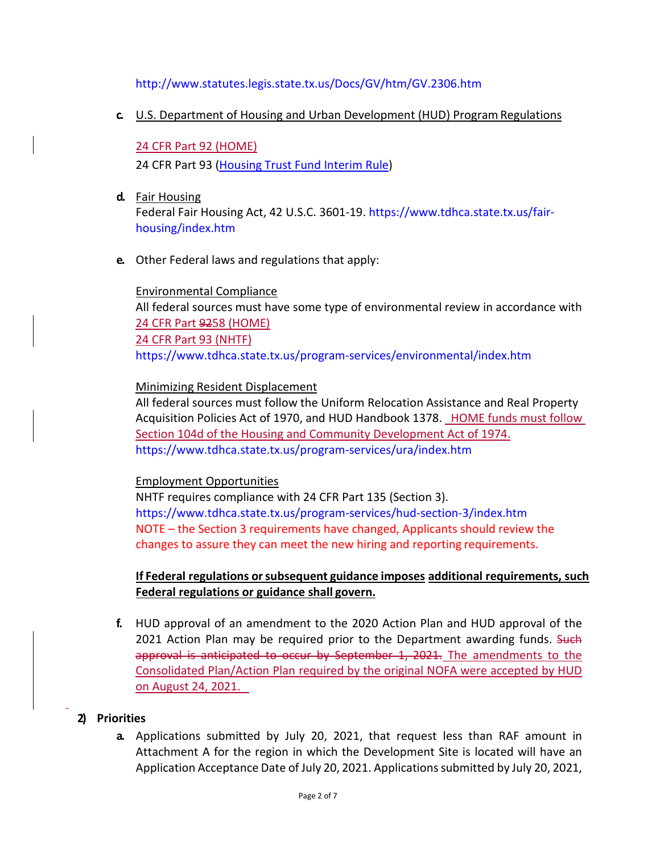### <http://www.statutes.legis.state.tx.us/Docs/GV/htm/GV.2306.htm>

#### **c.** U.S. Department of Housing and Urban Development (HUD) ProgramRegulations

#### 24 CFR Part 92 (HOME)

24 CFR Part 93 (Housing Trust Fund Interim Rule)

- **d.** Fair Housing Federal Fair Housing Act, 42 U.S.C. 3601-19. [https://www.tdhca.state.tx.us/fair](http://www.tdhca.state.tx.us/fair)housing/index.htm
- **e.** Other Federal laws and regulations that apply:

## Environmental Compliance All federal sources must have some type of environmental review in accordance with 24 CFR Part 9258 (HOME) 24 CFR Part 93 (NHTF) [https://www.tdhca.state.tx.us/program-](http://www.tdhca.state.tx.us/program)services/environmental/index.htm

Minimizing Resident Displacement

All federal sources must follow the Uniform Relocation Assistance and Real Property Acquisition Policies Act of 1970, and HUD Handbook 1378. HOME funds must follow Section 104d of the Housing and Community Development Act of 1974. [https://www.tdhca.state.tx.us/program-](http://www.tdhca.state.tx.us/program)services/ura/index.htm

#### Employment Opportunities

NHTF requires compliance with 24 CFR Part 135 (Section 3). [https://www.tdhca.state.tx.us/program-](http://www.tdhca.state.tx.us/program)services/hud-section-3/index.htm NOTE – the Section 3 requirements have changed, Applicants should review the changes to assure they can meet the new hiring and reporting requirements.

**If Federal regulations orsubsequent guidance imposes additional requirements, such Federal regulations or guidance shall govern.**

**f.** HUD approval of an amendment to the 2020 Action Plan and HUD approval of the 2021 Action Plan may be required prior to the Department awarding funds. Such approval is anticipated to occur by September 1, 2021. The amendments to the Consolidated Plan/Action Plan required by the original NOFA were accepted by HUD on August 24, 2021.

### **2) Priorities**

**a.** Applications submitted by July 20, 2021, that request less than RAF amount in Attachment A for the region in which the Development Site is located will have an Application Acceptance Date of July 20, 2021. Applications submitted by July 20, 2021,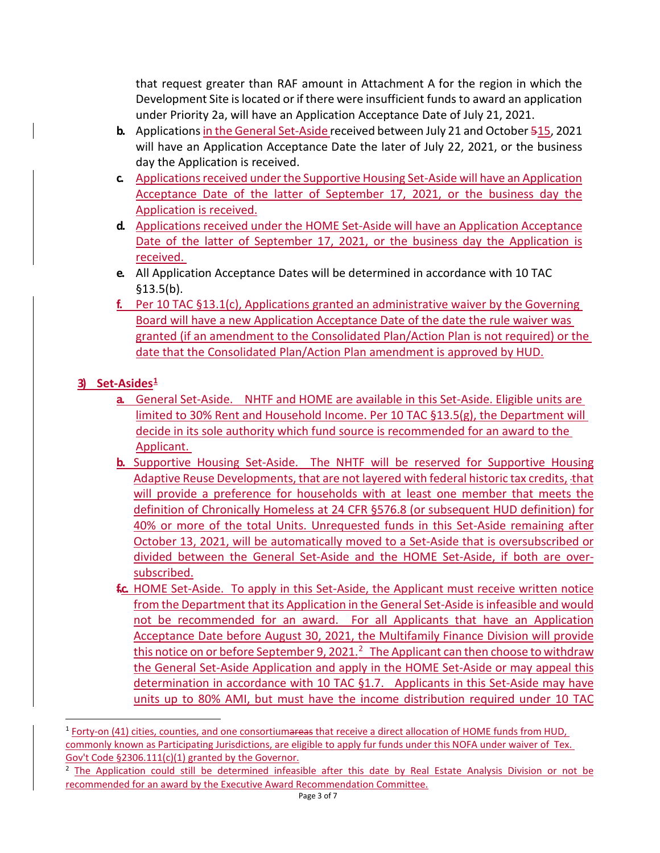that request greater than RAF amount in Attachment A for the region in which the Development Site islocated or if there were insufficient funds to award an application under Priority 2a, will have an Application Acceptance Date of July 21, 2021.

- **b.** Applications in the General Set-Aside received between July 21 and October 515, 2021 will have an Application Acceptance Date the later of July 22, 2021, or the business day the Application is received.
- **c.** Applications received under the Supportive Housing Set-Aside will have an Application Acceptance Date of the latter of September 17, 2021, or the business day the Application is received.
- **d.** Applications received under the HOME Set-Aside will have an Application Acceptance Date of the latter of September 17, 2021, or the business day the Application is received.
- **e.** All Application Acceptance Dates will be determined in accordance with 10 TAC §13.5(b).
- **f.** Per 10 TAC §13.1(c), Applications granted an administrative waiver by the Governing Board will have a new Application Acceptance Date of the date the rule waiver was granted (if an amendment to the Consolidated Plan/Action Plan is not required) or the date that the Consolidated Plan/Action Plan amendment is approved by HUD.

## **3) Set-Asides[1](#page-2-0)**

- **a.** General Set-Aside. NHTF and HOME are available in this Set-Aside. Eligible units are limited to 30% Rent and Household Income. Per 10 TAC §13.5(g), the Department will decide in its sole authority which fund source is recommended for an award to the Applicant.
- **b.** Supportive Housing Set-Aside. The NHTF will be reserved for Supportive Housing Adaptive Reuse Developments, that are not layered with federal historic tax credits, that will provide a preference for households with at least one member that meets the definition of Chronically Homeless at 24 CFR §576.8 (or subsequent HUD definition) for 40% or more of the total Units. Unrequested funds in this Set-Aside remaining after October 13, 2021, will be automatically moved to a Set-Aside that is oversubscribed or divided between the General Set-Aside and the HOME Set-Aside, if both are oversubscribed.
- **f.c.** HOME Set-Aside. To apply in this Set-Aside, the Applicant must receive written notice from the Department that its Application in the General Set-Aside is infeasible and would not be recommended for an award. For all Applicants that have an Application Acceptance Date before August 30, 2021, the Multifamily Finance Division will provide this notice on or before September 9, 2021.<sup>2</sup> The Applicant can then choose to withdraw the General Set-Aside Application and apply in the HOME Set-Aside or may appeal this determination in accordance with 10 TAC §1.7. Applicants in this Set-Aside may have units up to 80% AMI, but must have the income distribution required under 10 TAC

<span id="page-2-0"></span><sup>&</sup>lt;sup>1</sup> Forty-on (41) cities, counties, and one consortiumareas that receive a direct allocation of HOME funds from HUD, commonly known as Participating Jurisdictions, are eligible to apply fur funds under this NOFA under waiver of Tex. Gov't Code §2306.111(c)(1) granted by the Governor.

<span id="page-2-1"></span><sup>2</sup> The Application could still be determined infeasible after this date by Real Estate Analysis Division or not be recommended for an award by the Executive Award Recommendation Committee.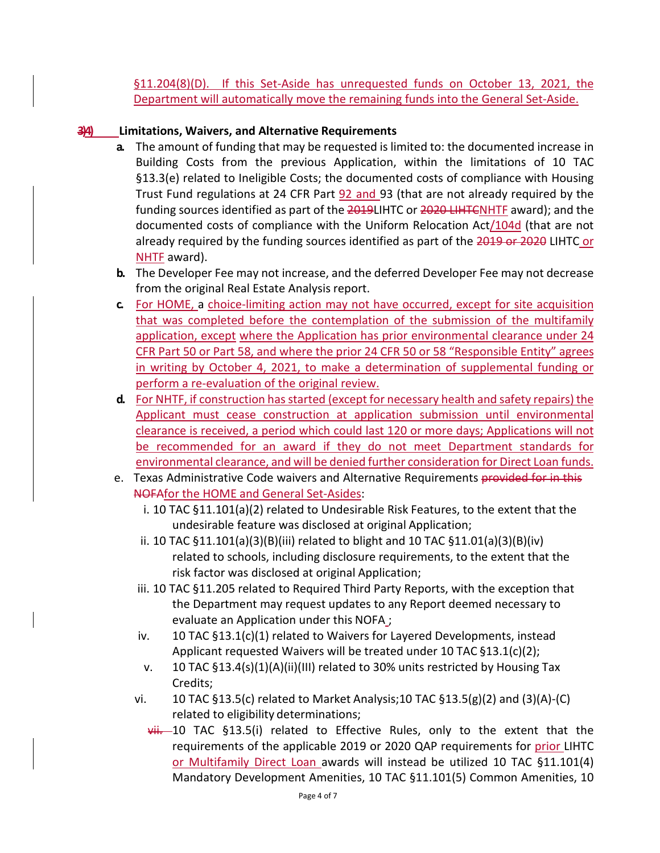§11.204(8)(D). If this Set-Aside has unrequested funds on October 13, 2021, the Department will automatically move the remaining funds into the General Set-Aside.

## **3)4) Limitations, Waivers, and Alternative Requirements**

- **a.** The amount of funding that may be requested is limited to: the documented increase in Building Costs from the previous Application, within the limitations of 10 TAC §13.3(e) related to Ineligible Costs; the documented costs of compliance with Housing Trust Fund regulations at 24 CFR Part 92 and 93 (that are not already required by the funding sources identified as part of the 2019LIHTC or 2020 LIHTCNHTF award); and the documented costs of compliance with the Uniform Relocation Act/104d (that are not already required by the funding sources identified as part of the 2019 or 2020 LIHTC or NHTF award).
- **b.** The Developer Fee may not increase, and the deferred Developer Fee may not decrease from the original Real Estate Analysis report.
- **c.** For HOME, a choice-limiting action may not have occurred, except for site acquisition that was completed before the contemplation of the submission of the multifamily application, except where the Application has prior environmental clearance under 24 CFR Part 50 or Part 58, and where the prior 24 CFR 50 or 58 "Responsible Entity" agrees in writing by October 4, 2021, to make a determination of supplemental funding or perform a re-evaluation of the original review.
- **d.** For NHTF, if construction has started (except for necessary health and safety repairs) the Applicant must cease construction at application submission until environmental clearance is received, a period which could last 120 or more days; Applications will not be recommended for an award if they do not meet Department standards for environmental clearance, and will be denied further consideration for Direct Loan funds.
- e. Texas Administrative Code waivers and Alternative Requirements provided for in this NOFAfor the HOME and General Set-Asides:
	- i. 10 TAC §11.101(a)(2) related to Undesirable Risk Features, to the extent that the undesirable feature was disclosed at original Application;
	- ii. 10 TAC  $\S 11.101(a)(3)(B)(iii)$  related to blight and 10 TAC  $\S 11.01(a)(3)(B)(iv)$ related to schools, including disclosure requirements, to the extent that the risk factor was disclosed at original Application;
	- iii. 10 TAC §11.205 related to Required Third Party Reports, with the exception that the Department may request updates to any Report deemed necessary to evaluate an Application under this NOFA ;
	- iv. 10 TAC §13.1(c)(1) related to Waivers for Layered Developments, instead Applicant requested Waivers will be treated under 10 TAC §13.1(c)(2);
	- v. 10 TAC §13.4(s)(1)(A)(ii)(III) related to 30% units restricted by Housing Tax Credits;
	- vi. 10 TAC §13.5(c) related to Market Analysis;10 TAC §13.5(g)(2) and (3)(A)-(C) related to eligibility determinations;
		- $vii.$  10 TAC §13.5(i) related to Effective Rules, only to the extent that the requirements of the applicable 2019 or 2020 QAP requirements for prior LIHTC or Multifamily Direct Loan awards will instead be utilized 10 TAC §11.101(4) Mandatory Development Amenities, 10 TAC §11.101(5) Common Amenities, 10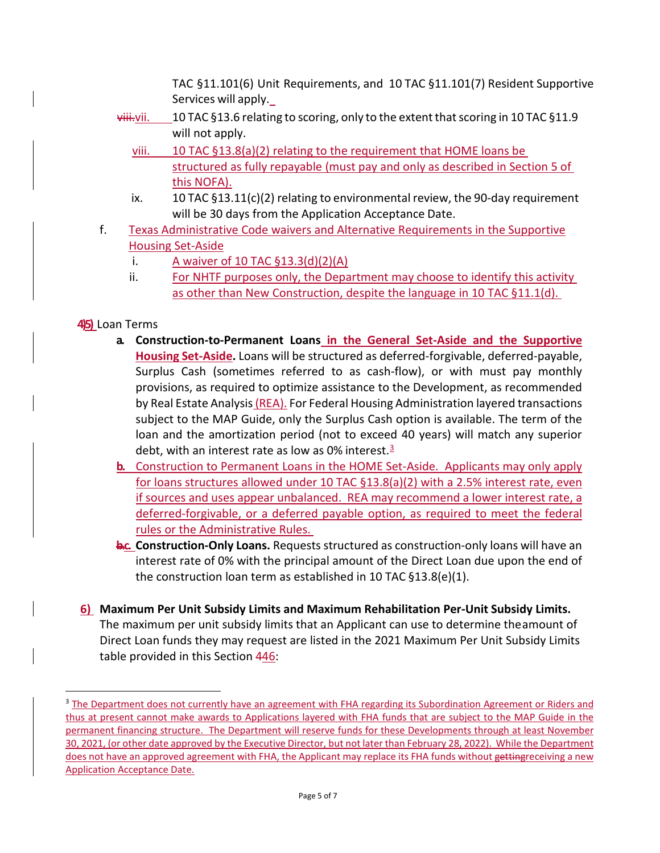TAC §11.101(6) Unit Requirements, and 10 TAC §11.101(7) Resident Supportive Services will apply.

- $\overline{\text{yiii}}$ ,  $\overline{\text{yii}}$ . 10 TAC §13.6 relating to scoring, only to the extent that scoring in 10 TAC §11.9 will not apply.
	- viii. 10 TAC §13.8(a)(2) relating to the requirement that HOME loans be structured as fully repayable (must pay and only as described in Section 5 of this NOFA).
	- ix. 10 TAC §13.11(c)(2) relating to environmental review, the 90-day requirement will be 30 days from the Application Acceptance Date.
- f. Texas Administrative Code waivers and Alternative Requirements in the Supportive Housing Set-Aside
	- i. A waiver of  $10$  TAC  $\S$ 13.3(d)(2)(A)
	- ii. For NHTF purposes only, the Department may choose to identify this activity as other than New Construction, despite the language in 10 TAC §11.1(d).

# **4)5)** Loan Terms

- **a. Construction‐to‐Permanent Loans in the General Set-Aside and the Supportive Housing Set-Aside.** Loans will be structured as deferred-forgivable, deferred-payable, Surplus Cash (sometimes referred to as cash-flow), or with must pay monthly provisions, as required to optimize assistance to the Development, as recommended by Real Estate Analysis (REA). For Federal Housing Administration layered transactions subject to the MAP Guide, only the Surplus Cash option is available. The term of the loan and the amortization period (not to exceed 40 years) will match any superior debt, with an interest rate as low as 0% interest. $3$
- **b.** Construction to Permanent Loans in the HOME Set-Aside. Applicants may only apply for loans structures allowed under 10 TAC §13.8(a)(2) with a 2.5% interest rate, even if sources and uses appear unbalanced. REA may recommend a lower interest rate, a deferred-forgivable, or a deferred payable option, as required to meet the federal rules or the Administrative Rules.
- **b.c. Construction‐Only Loans.** Requests structured as construction-only loans will have an interest rate of 0% with the principal amount of the Direct Loan due upon the end of the construction loan term as established in 10 TAC §13.8(e)(1).
- **6) Maximum Per Unit Subsidy Limits and Maximum Rehabilitation Per‐Unit Subsidy Limits.**  The maximum per unit subsidy limits that an Applicant can use to determine theamount of Direct Loan funds they may request are listed in the 2021 Maximum Per Unit Subsidy Limits table provided in this Section 446:

<span id="page-4-0"></span><sup>&</sup>lt;sup>3</sup> The Department does not currently have an agreement with FHA regarding its Subordination Agreement or Riders and thus at present cannot make awards to Applications layered with FHA funds that are subject to the MAP Guide in the permanent financing structure. The Department will reserve funds for these Developments through at least November 30, 2021, (or other date approved by the Executive Director, but not later than February 28, 2022). While the Department does not have an approved agreement with FHA, the Applicant may replace its FHA funds without gettingreceiving a new Application Acceptance Date.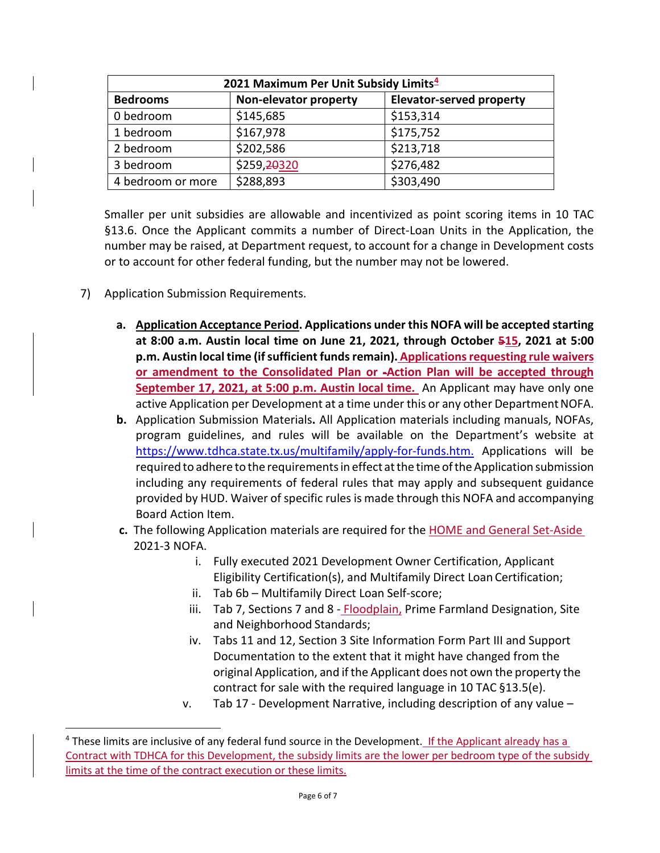| 2021 Maximum Per Unit Subsidy Limits <sup>4</sup> |                       |                                 |
|---------------------------------------------------|-----------------------|---------------------------------|
| <b>Bedrooms</b>                                   | Non-elevator property | <b>Elevator-served property</b> |
| 0 bedroom                                         | \$145,685             | \$153,314                       |
| 1 bedroom                                         | \$167,978             | \$175,752                       |
| 2 bedroom                                         | \$202,586             | \$213,718                       |
| 3 bedroom                                         | \$259,20320           | \$276,482                       |
| 4 bedroom or more                                 | \$288,893             | \$303,490                       |

Smaller per unit subsidies are allowable and incentivized as point scoring items in 10 TAC §13.6. Once the Applicant commits a number of Direct-Loan Units in the Application, the number may be raised, at Department request, to account for a change in Development costs or to account for other federal funding, but the number may not be lowered.

- 7) Application Submission Requirements.
	- **a. Application Acceptance Period. Applications under this NOFA will be accepted starting at 8:00 a.m. Austin local time on June 21, 2021, through October 515, 2021 at 5:00 p.m. Austin local time (if sufficient funds remain). Applications requesting rule waivers or amendment to the Consolidated Plan or -Action Plan will be accepted through September 17, 2021, at 5:00 p.m. Austin local time.** An Applicant may have only one active Application per Development at a time under this or any other Department NOFA.
	- **b.** Application Submission Materials**.** All Application materials including manuals, NOFAs, program guidelines, and rules will be available on the Department's website at [https://www.tdhca.state.tx.us/multifamily/apply-](http://www.tdhca.state.tx.us/multifamily/apply)for-funds.htm. Applications will be required to adhere to the requirements in effect at the time of the Application submission including any requirements of federal rules that may apply and subsequent guidance provided by HUD. Waiver of specific rules is made through this NOFA and accompanying Board Action Item.
	- **c.** The following Application materials are required for the HOME and General Set-Aside 2021-3 NOFA.
		- i. Fully executed 2021 Development Owner Certification, Applicant Eligibility Certification(s), and Multifamily Direct Loan Certification;
		- ii. Tab 6b Multifamily Direct Loan Self-score;
		- iii. Tab 7, Sections 7 and 8 Floodplain, Prime Farmland Designation, Site and Neighborhood Standards;
		- iv. Tabs 11 and 12, Section 3 Site Information Form Part III and Support Documentation to the extent that it might have changed from the original Application, and ifthe Applicant does not own the property the contract for sale with the required language in 10 TAC §13.5(e).
		- v. Tab 17 Development Narrative, including description of any value –

<span id="page-5-0"></span><sup>&</sup>lt;sup>4</sup> These limits are inclusive of any federal fund source in the Development. If the Applicant already has a Contract with TDHCA for this Development, the subsidy limits are the lower per bedroom type of the subsidy limits at the time of the contract execution or these limits.